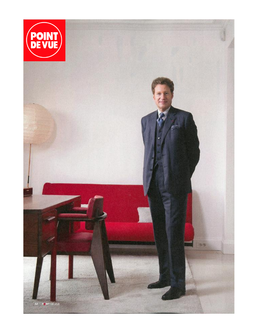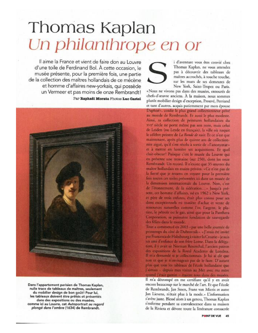## Thomas Kaplan Un philanthrope en or

Il aime la France et vient de faire don au Louvre d'une toile de Ferdinand Bol. À cette occasion, le musée présente, pour la première fois, une partie de la collection des maîtres hollandais de ce mécène et homme d'affaires new-yorkais, qui possède un Vermeer et pas moins de onze Rembrandt! Par Raphaël Morata Photos Luc Castel



Dans l'appartement parisien de Thomas Kaplan, nulle trace de tableaux de maîtres, seulement du mobilier design de bon goût! Pour lui, les tableaux doivent être prêtés et présentés dans des expositions ou des musées, comme ici au Louvre, cet Autoportrait au regard plongé dans l'ombre (1634) de Rembrandt.

i d'aventure vous êtes convié chez Thomas Kaplan, ne vous attendez pas à découvrir des tableaux de maîtres accrochés, à touche touche. sur les murs de ses demeures de New York, Saint-Tropez ou Paris.

« Nous ne vivons pas dans des musées, entourés de chefs-d'œuvre anciens. À la maison, nous sommes plutôt mobilier design d'exception, Prouvé, Perriand et tant d'autres, acquis patiemment par mon épouse Daphné», confie le plus grand collectionneur privé au monde de Rembrandt. Et aussi le plus modeste. Ainsi, sa collection de peintures hollandaises du XVII<sup>t</sup> siècle ne porte même pas son nom, mais celui de Leiden (ou Leyde en français), la ville où naquit le célèbre peintre de La Ronde de nuit. Et ce n'est que maintenant, après plus de quinze ans de collectionnite aiguë, qu'il s'est résolu à sortir de «l'anonymat» et à mettre en lumière ses acquisitions. Et quel clair-obscur! Puisque c'est le musée du Louvre qui en présente une trentaine (sur 250), dont les onze Rembrandt. Un record. Il n'existe que 35 œuvres du maître hollandais en mains privées. «Ce n'est pas de la fierté que je ressens en voyant pour la première fois toutes ces toiles présentées ici dans un musée de la dimension internationale du Louvre. Non, c'est de l'étonnement, de la sidération... » Jusqu'à présent, cet homme d'affaires, né en 1962 à New York, et père de trois enfants, était plus connu pour ses dons exceptionnels en matière d'achat et vente de ressources naturelles comme l'or, l'argent, le platine, le pétrole ou le gaz, ainsi que pour la Panthera Corporation, sa puissante fondation de sauvegarde des félins dans le monde.

Tout a commencé en 2003 « par une belle journée de printemps du côté de Dubrovnik». « l'avais été invité par Francesca de Habsbourg à visiter la Croatie-je suis un ami d'enfance de son frère Lorne. Dans la délégation, il y avait sir Norman Rosenthal. l'ancien patron des expositions de la Royal Academy de Londres. Il m'a demandé si je collectionnais. Je lui ai dit que non et que je n'envisageais pas de le faire. D'autant plus que tous les tableaux de l'école hollandaise que j'aimais - depuis mes visites au Met avec ma mère quand j'étais gamin - étaient tous dans des musées. Il m'a détrompé en me certifiant qu'il y en avait encore beaucoup sur le marché de l'art. Et que l'école de Rembrandt, Jan Steen, Frans van Mieris et autre Jan Lievens, n'était plus à la mode.» L'information s'avère juste. Blessé alors à un genou, Thomas Kaplan s'enferme pendant sa convalescence dans sa maison de la Riviera et dévore toute la littérature consacrée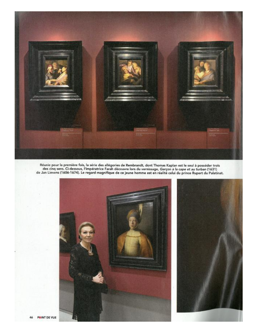

Réunie pour la première fois, la série des allégories de Rembrandt, dont Thomas Kaplan est le seul à posséder trois<br>des cinq sens. Ci-dessous, l'impératrice Farah découvre lors du vernissage, Garçon à la cape et au turban

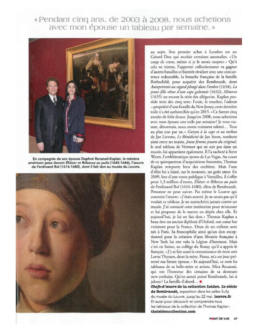## «Pendant cinq ans, de 2003 à 2008, nous achetions avec mon épouse un tableau par semaine. »



En compagnie de son épouse Daphné Recanati-Kaplan, le mécène américain pose devant Éliézer et Rébecca au puits (1645-1646), l'œuvre de Ferdinand Bol (1616-1680), dont il fait don au musée du Louvre.



au sujet. Son premier achat à Londres est un Gérard Dou qui recelait certaines anomalies. « Un coup de cœur, même si je le savais suspect.» Qu'à cela ne tienne, l'apprenti collectionneur va gagner d'autres batailles et bientôt rivaliser avec une concurrence redoutable, la branche française de la famille Rothschild, pour acquérir des Rembrandt, dont Autoportrait au regard plongé dans l'ombre (1634), La jeune fille vêtue d'une cape galonnée (1632), Minerve (1635) ou encore la série des allégories. Kaplan possède trois des cinq sens: l'ouïe, le toucher, l'odorat - propriété d'une famille du New Jersey, cette dernière toile n'a été authentifiée qu'en 2015. « Ce furent cinq années de folie douce. Jusqu'en 2008, nous achetions avec mon épouse une toile par semaine! Je vous rassure, désormais, nous avons vraiment ralenti... Tout au plus une par an.» Garçon à la cape et au turban de Jan Lievens, Le Bénédicité de Jan Steen, tombent ainsi entre ses mains. Jeune femme jouant du virginal, le seul tableau de Vermeer qui ne soit pas dans un musée, lui appartient également. Il l'a racheté à Steve Wynn, l'emblématique tycoon de Las Vegas. Au cours de ce quinquennat d'acquisitions forcenées, Thomas Kaplan remporte bien des enchères. Mais l'une d'elles lui a laissé, sur le moment, un goût amer. En 2009, lors d'une vente publique à Versailles, il s'offre pour 1,3 million d'euros, Eliézer et Rébecca au puits de Ferdinand Bol (1616-1680), élève de Rembrandt. Personne ne peut suivre. Pas même le Louvre qui convoite l'œuvre. « J'étais atterré. Je ne savais pas qu'il voulait ce tableau. Je ne surenchéris jamais contre un musée. J'ai contacté cette institution pour m'excuser et lui proposer de le mettre en dépôt chez elle. Et aujourd'hui, je lui en fais don.» Thomas Kaplan a beau être un ancien diplômé d'Oxford, son cœur bat vraiment pour la France. Deux de ses enfants sont nés à Paris. Sa francophilie ainsi qu'un don exceptionnel pour la création d'une librairie française à New York lui ont valu la Légion d'honneur. Mais c'est en Suisse, au collège du Rosay, qu'il a appris le français. « J'y ai fait aussi la connaissance de mon ami Lorne Thyssen, dont la mère, Fiona, m'a un jour présenté ma future épouse. » Et aujourd'hui, ce sont les tableaux de sa belle-mère et artiste, Mira Recanati, qui ont l'honneur des cimaises de sa demeure new-yorkaise. Qu'en aurait pensé Rembrandt, lui si jaloux? La famille d'abord… ●

Chefs-d'œuvre de la collection Leiden. Le siècle de Rembrandt, exposition dans les salles Sully du musée du Louvre, jusqu'au 22 mai. louvre.fr Et aussi pour découvrir et comprendre tous les tableaux de la collection de Thomas Kaplan: theleidencollection.com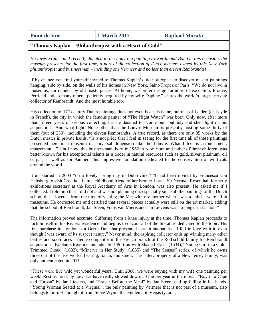| <b>Point de Vue</b> | <b>March 2017</b> | Raphaël Morata |
|---------------------|-------------------|----------------|
|---------------------|-------------------|----------------|

## **"Thomas Kaplan – Philanthropist with a Heart of Gold"**

*He loves France and recently donated to the Louvre a painting by Ferdinand Bol. On this occasion, the museum presents, for the first time, a part of the collection of Dutch masters owned by this New York philanthropist and businessman – including one Vermeer and no less than eleven Rembrandts!*

If by chance you find yourself invited to Thomas Kaplan's, do not expect to discover master paintings hanging, side by side, on the walls of his homes in New York, Saint-Tropez or Paris. "We do not live in museums, surrounded by old masterpieces. At home, we prefer design furniture of exception, Prouvé, Perriand and so many others, patiently acquired by my wife Daphne," shares the world's largest private collector of Rembrandt. And the most humble too.

His collection of  $17<sup>th</sup>$  century Dutch paintings does not even bear his name, but that of Leiden (or Leyde in French), the city in which the famous painter of "The Night Watch" was born. Only now, after more than fifteen years of serious collecting, has he decided to "come out" publicly and shed light on his acquisitions. And what light! None other than the Louvre Museum is presently hosting some thirty of them (out of 250), including the eleven Rembrandts. A true record, as there are only 35 works by the Dutch master in private hands. "It is not pride that I feel in seeing for the first time all of these paintings presented here in a museum of universal dimension like the Louvre. What I feel is astonishment, amazement…" Until now, this businessman, born in 1962 in New York and father of three children, was better known for his exceptional talents as a trader in natural resources such as gold, silver, platinum, oil or gas, as well as for Panthera, his impressive foundation dedicated to the conservation of wild cats around the world.

It all started in 2003 "on a lovely spring day in Dubrovnik." "I had been invited by Francesca von Habsburg to visit Croatia – I am a childhood friend of her brother Lorne. Sir Norman Rosenthal, formerly exhibitions secretary at the Royal Academy of Arts in London, was also present. He asked me if I collected. I told him that I did not and was not planning on, especially since all the paintings of the Dutch school that I loved – from the time of visiting the Met with my mother when I was a child – were all in museums. He corrected me and certified that several pieces actually were still on the art market, adding that the school of Rembrandt, Jan Steen, Frans van Mieris and Jan Lievens was no longer in fashion."

The information proved accurate. Suffering from a knee injury at the time, Thomas Kaplan proceeds to lock himself in his Riviera residence and begins to devour all of the literature dedicated to the topic. His first purchase in London is a Gerrit Dou that presented certain anomalies. "I fell in love with it, even though I was aware of its suspect nature." Never mind, the aspiring collector ends up winning many other battles and soon faces a fierce competitor in the French branch of the Rothschild family for Rembrandt acquisitions. Kaplan's treasures include "Self-Portrait with Shaded Eyes" (1634), "Young Girl in a Gold-Trimmed Cloak" (1632), "Minerva in Her Study" (1635) and "The Senses" series, of which he owns three out of the five works: hearing, touch, and smell. The latter, property of a New Jersey family, was only authenticated in 2015.

"These were five wild yet wonderful years. Until 2008, we were buying with my wife one painting per week! Rest assured, by now, we have really slowed down… One per year at the most." "Boy in a Cape and Turban" by Jan Lievens, and "Prayer Before the Meal" by Jan Steen, end up falling in his hands. "Young Woman Seated at a Virginal", the only painting by Vermeer that is not part of a museum, also belongs to him. He bought it from Steve Wynn, the emblematic Vegas tycoon.